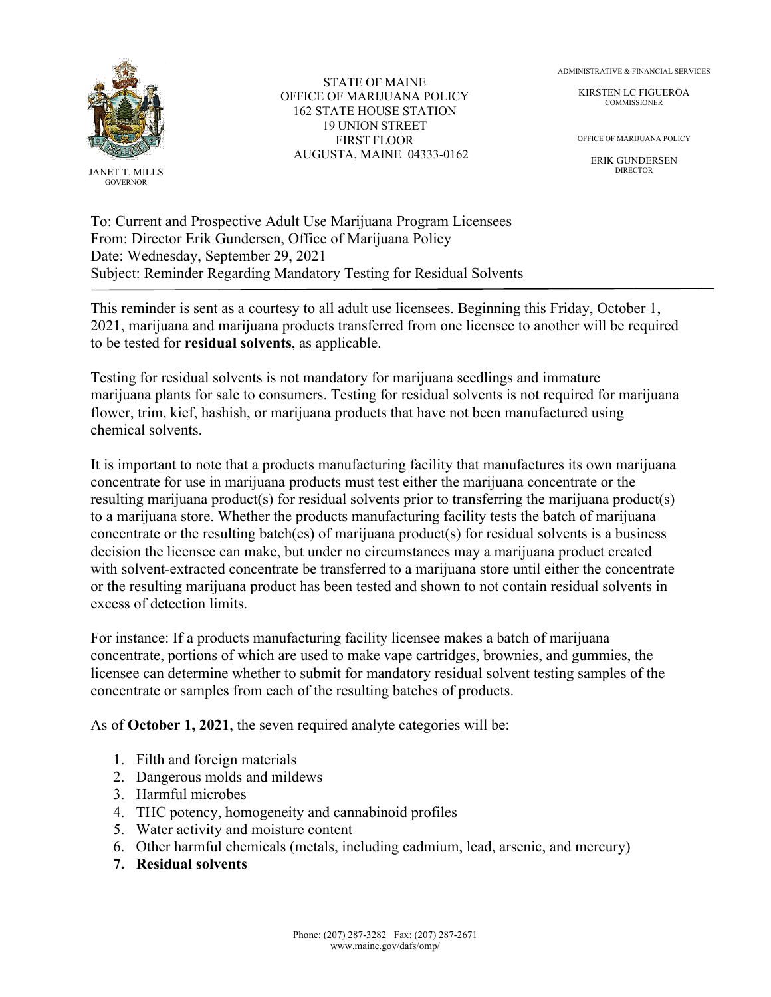

JANET T. MILLS GOVERNOR

STATE OF MAINE OFFICE OF MARIJUANA POLICY 162 STATE HOUSE STATION 19 UNION STREET FIRST FLOOR AUGUSTA, MAINE 04333-0162 ADMINISTRATIVE & FINANCIAL SERVICES

KIRSTEN LC FIGUEROA **COMMISSIONER** 

OFFICE OF MARIJUANA POLICY

ERIK GUNDERSEN DIRECTOR

To: Current and Prospective Adult Use Marijuana Program Licensees From: Director Erik Gundersen, Office of Marijuana Policy Date: Wednesday, September 29, 2021 Subject: Reminder Regarding Mandatory Testing for Residual Solvents

This reminder is sent as a courtesy to all adult use licensees. Beginning this Friday, October 1, 2021, marijuana and marijuana products transferred from one licensee to another will be required to be tested for **residual solvents**, as applicable.

Testing for residual solvents is not mandatory for marijuana seedlings and immature marijuana plants for sale to consumers. Testing for residual solvents is not required for marijuana flower, trim, kief, hashish, or marijuana products that have not been manufactured using chemical solvents.

It is important to note that a products manufacturing facility that manufactures its own marijuana concentrate for use in marijuana products must test either the marijuana concentrate or the resulting marijuana product(s) for residual solvents prior to transferring the marijuana product(s) to a marijuana store. Whether the products manufacturing facility tests the batch of marijuana concentrate or the resulting batch(es) of marijuana product(s) for residual solvents is a business decision the licensee can make, but under no circumstances may a marijuana product created with solvent-extracted concentrate be transferred to a marijuana store until either the concentrate or the resulting marijuana product has been tested and shown to not contain residual solvents in excess of detection limits.

For instance: If a products manufacturing facility licensee makes a batch of marijuana concentrate, portions of which are used to make vape cartridges, brownies, and gummies, the licensee can determine whether to submit for mandatory residual solvent testing samples of the concentrate or samples from each of the resulting batches of products.

As of **October 1, 2021**, the seven required analyte categories will be:

- 1. Filth and foreign materials
- 2. Dangerous molds and mildews
- 3. Harmful microbes
- 4. THC potency, homogeneity and cannabinoid profiles
- 5. Water activity and moisture content
- 6. Other harmful chemicals (metals, including cadmium, lead, arsenic, and mercury)
- **7. Residual solvents**